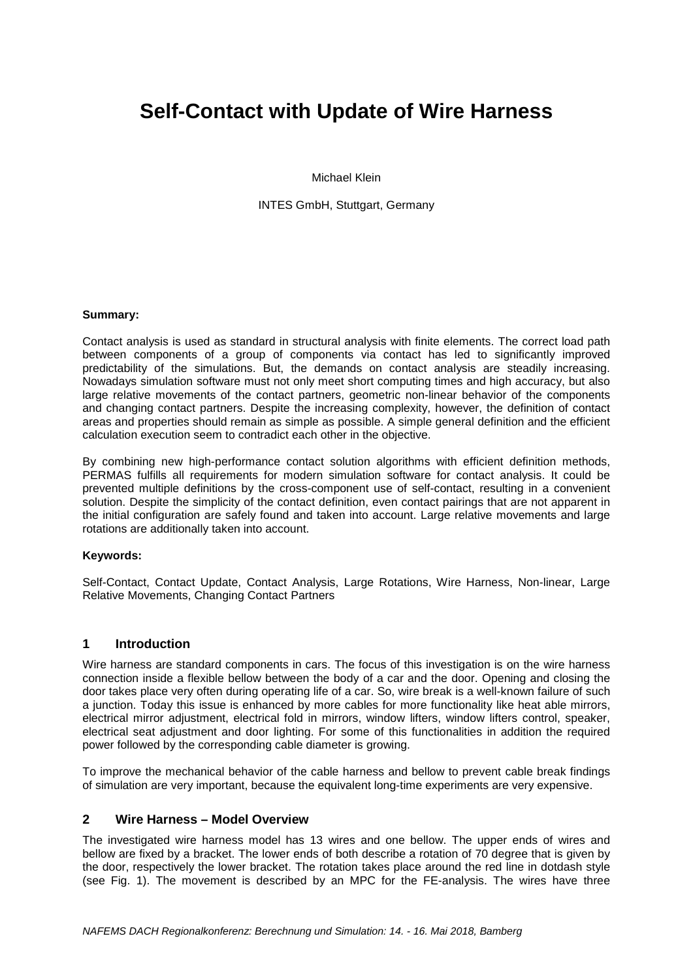# **Self-Contact with Update of Wire Harness**

Michael Klein

INTES GmbH, Stuttgart, Germany

## **Summary:**

Contact analysis is used as standard in structural analysis with finite elements. The correct load path between components of a group of components via contact has led to significantly improved predictability of the simulations. But, the demands on contact analysis are steadily increasing. Nowadays simulation software must not only meet short computing times and high accuracy, but also large relative movements of the contact partners, geometric non-linear behavior of the components and changing contact partners. Despite the increasing complexity, however, the definition of contact areas and properties should remain as simple as possible. A simple general definition and the efficient calculation execution seem to contradict each other in the objective.

By combining new high-performance contact solution algorithms with efficient definition methods, PERMAS fulfills all requirements for modern simulation software for contact analysis. It could be prevented multiple definitions by the cross-component use of self-contact, resulting in a convenient solution. Despite the simplicity of the contact definition, even contact pairings that are not apparent in the initial configuration are safely found and taken into account. Large relative movements and large rotations are additionally taken into account.

#### **Keywords:**

Self-Contact, Contact Update, Contact Analysis, Large Rotations, Wire Harness, Non-linear, Large Relative Movements, Changing Contact Partners

# **1 Introduction**

Wire harness are standard components in cars. The focus of this investigation is on the wire harness connection inside a flexible bellow between the body of a car and the door. Opening and closing the door takes place very often during operating life of a car. So, wire break is a well-known failure of such a junction. Today this issue is enhanced by more cables for more functionality like heat able mirrors, electrical mirror adjustment, electrical fold in mirrors, window lifters, window lifters control, speaker, electrical seat adjustment and door lighting. For some of this functionalities in addition the required power followed by the corresponding cable diameter is growing.

To improve the mechanical behavior of the cable harness and bellow to prevent cable break findings of simulation are very important, because the equivalent long-time experiments are very expensive.

### **2 Wire Harness – Model Overview**

The investigated wire harness model has 13 wires and one bellow. The upper ends of wires and bellow are fixed by a bracket. The lower ends of both describe a rotation of 70 degree that is given by the door, respectively the lower bracket. The rotation takes place around the red line in dotdash style (see Fig. 1). The movement is described by an MPC for the FE-analysis. The wires have three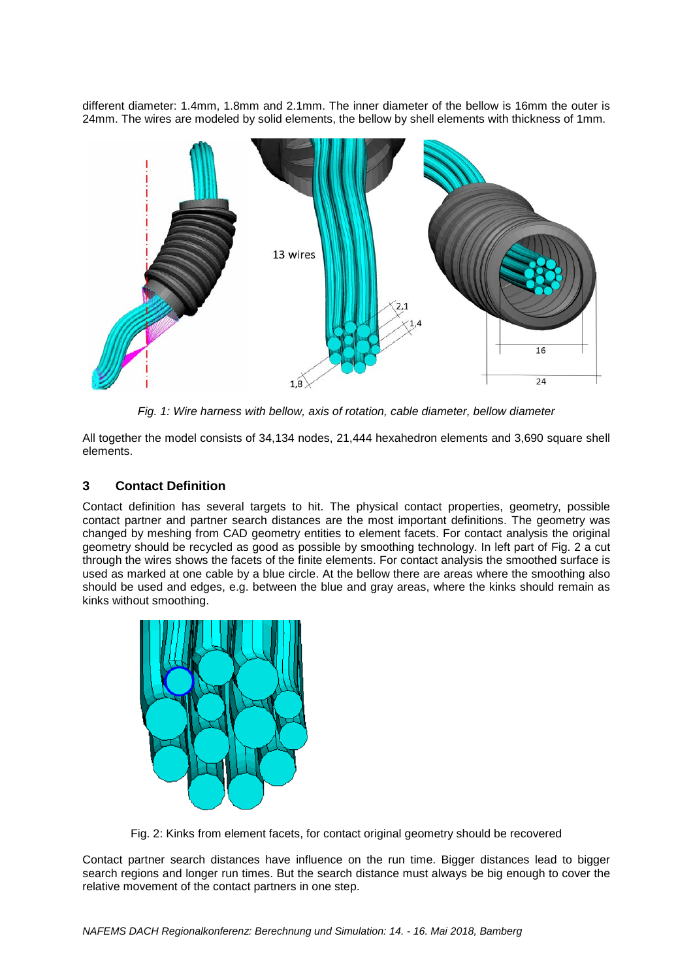different diameter: 1.4mm, 1.8mm and 2.1mm. The inner diameter of the bellow is 16mm the outer is 24mm. The wires are modeled by solid elements, the bellow by shell elements with thickness of 1mm.



*Fig. 1: Wire harness with bellow, axis of rotation, cable diameter, bellow diameter*

All together the model consists of 34,134 nodes, 21,444 hexahedron elements and 3,690 square shell elements.

# **3 Contact Definition**

Contact definition has several targets to hit. The physical contact properties, geometry, possible contact partner and partner search distances are the most important definitions. The geometry was changed by meshing from CAD geometry entities to element facets. For contact analysis the original geometry should be recycled as good as possible by smoothing technology. In left part of Fig. 2 a cut through the wires shows the facets of the finite elements. For contact analysis the smoothed surface is used as marked at one cable by a blue circle. At the bellow there are areas where the smoothing also should be used and edges, e.g. between the blue and gray areas, where the kinks should remain as kinks without smoothing.



Fig. 2: Kinks from element facets, for contact original geometry should be recovered

Contact partner search distances have influence on the run time. Bigger distances lead to bigger search regions and longer run times. But the search distance must always be big enough to cover the relative movement of the contact partners in one step.